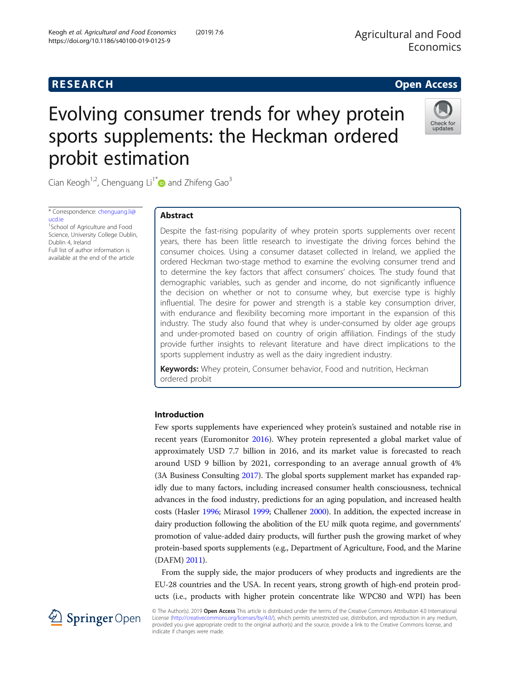# Evolving consumer trends for whey protein sports supplements: the Heckman ordered probit estimation



Cian Keogh<sup>1,2</sup>, Chenguang Li<sup>1[\\*](http://orcid.org/0000-0003-0409-3251)</sup> $\bullet$  and Zhifeng Gao<sup>3</sup>

\* Correspondence: [chenguang.li@](mailto:chenguang.li@ucd.ie) [ucd.ie](mailto:chenguang.li@ucd.ie)

1 School of Agriculture and Food Science, University College Dublin, Dublin 4, Ireland Full list of author information is available at the end of the article

## Abstract

Despite the fast-rising popularity of whey protein sports supplements over recent years, there has been little research to investigate the driving forces behind the consumer choices. Using a consumer dataset collected in Ireland, we applied the ordered Heckman two-stage method to examine the evolving consumer trend and to determine the key factors that affect consumers' choices. The study found that demographic variables, such as gender and income, do not significantly influence the decision on whether or not to consume whey, but exercise type is highly influential. The desire for power and strength is a stable key consumption driver, with endurance and flexibility becoming more important in the expansion of this industry. The study also found that whey is under-consumed by older age groups and under-promoted based on country of origin affiliation. Findings of the study provide further insights to relevant literature and have direct implications to the sports supplement industry as well as the dairy ingredient industry.

Keywords: Whey protein, Consumer behavior, Food and nutrition, Heckman ordered probit

## Introduction

Few sports supplements have experienced whey protein's sustained and notable rise in recent years (Euromonitor [2016](#page-8-0)). Whey protein represented a global market value of approximately USD 7.7 billion in 2016, and its market value is forecasted to reach around USD 9 billion by 2021, corresponding to an average annual growth of 4% (3A Business Consulting [2017\)](#page-8-0). The global sports supplement market has expanded rapidly due to many factors, including increased consumer health consciousness, technical advances in the food industry, predictions for an aging population, and increased health costs (Hasler [1996;](#page-9-0) Mirasol [1999;](#page-9-0) Challener [2000](#page-8-0)). In addition, the expected increase in dairy production following the abolition of the EU milk quota regime, and governments' promotion of value-added dairy products, will further push the growing market of whey protein-based sports supplements (e.g., Department of Agriculture, Food, and the Marine (DAFM) [2011\)](#page-8-0).

From the supply side, the major producers of whey products and ingredients are the EU-28 countries and the USA. In recent years, strong growth of high-end protein products (i.e., products with higher protein concentrate like WPC80 and WPI) has been



© The Author(s). 2019 Open Access This article is distributed under the terms of the Creative Commons Attribution 4.0 International License [\(http://creativecommons.org/licenses/by/4.0/](http://creativecommons.org/licenses/by/4.0/)), which permits unrestricted use, distribution, and reproduction in any medium, provided you give appropriate credit to the original author(s) and the source, provide a link to the Creative Commons license, and indicate if changes were made.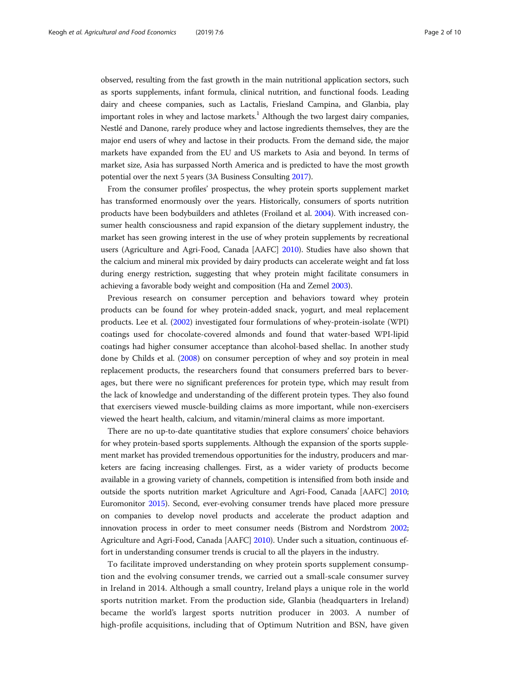observed, resulting from the fast growth in the main nutritional application sectors, such as sports supplements, infant formula, clinical nutrition, and functional foods. Leading dairy and cheese companies, such as Lactalis, Friesland Campina, and Glanbia, play important roles in whey and lactose markets. $<sup>1</sup>$  Although the two largest dairy companies,</sup> Nestlé and Danone, rarely produce whey and lactose ingredients themselves, they are the major end users of whey and lactose in their products. From the demand side, the major markets have expanded from the EU and US markets to Asia and beyond. In terms of market size, Asia has surpassed North America and is predicted to have the most growth potential over the next 5 years (3A Business Consulting [2017](#page-8-0)).

From the consumer profiles' prospectus, the whey protein sports supplement market has transformed enormously over the years. Historically, consumers of sports nutrition products have been bodybuilders and athletes (Froiland et al. [2004\)](#page-9-0). With increased consumer health consciousness and rapid expansion of the dietary supplement industry, the market has seen growing interest in the use of whey protein supplements by recreational users (Agriculture and Agri-Food, Canada [AAFC] [2010\)](#page-8-0). Studies have also shown that the calcium and mineral mix provided by dairy products can accelerate weight and fat loss during energy restriction, suggesting that whey protein might facilitate consumers in achieving a favorable body weight and composition (Ha and Zemel [2003](#page-9-0)).

Previous research on consumer perception and behaviors toward whey protein products can be found for whey protein-added snack, yogurt, and meal replacement products. Lee et al. [\(2002\)](#page-9-0) investigated four formulations of whey-protein-isolate (WPI) coatings used for chocolate-covered almonds and found that water-based WPI-lipid coatings had higher consumer acceptance than alcohol-based shellac. In another study done by Childs et al. ([2008](#page-8-0)) on consumer perception of whey and soy protein in meal replacement products, the researchers found that consumers preferred bars to beverages, but there were no significant preferences for protein type, which may result from the lack of knowledge and understanding of the different protein types. They also found that exercisers viewed muscle-building claims as more important, while non-exercisers viewed the heart health, calcium, and vitamin/mineral claims as more important.

There are no up-to-date quantitative studies that explore consumers' choice behaviors for whey protein-based sports supplements. Although the expansion of the sports supplement market has provided tremendous opportunities for the industry, producers and marketers are facing increasing challenges. First, as a wider variety of products become available in a growing variety of channels, competition is intensified from both inside and outside the sports nutrition market Agriculture and Agri-Food, Canada [AAFC] [2010](#page-8-0); Euromonitor [2015\)](#page-8-0). Second, ever-evolving consumer trends have placed more pressure on companies to develop novel products and accelerate the product adaption and innovation process in order to meet consumer needs (Bistrom and Nordstrom [2002](#page-8-0); Agriculture and Agri-Food, Canada [AAFC] [2010\)](#page-8-0). Under such a situation, continuous effort in understanding consumer trends is crucial to all the players in the industry.

To facilitate improved understanding on whey protein sports supplement consumption and the evolving consumer trends, we carried out a small-scale consumer survey in Ireland in 2014. Although a small country, Ireland plays a unique role in the world sports nutrition market. From the production side, Glanbia (headquarters in Ireland) became the world's largest sports nutrition producer in 2003. A number of high-profile acquisitions, including that of Optimum Nutrition and BSN, have given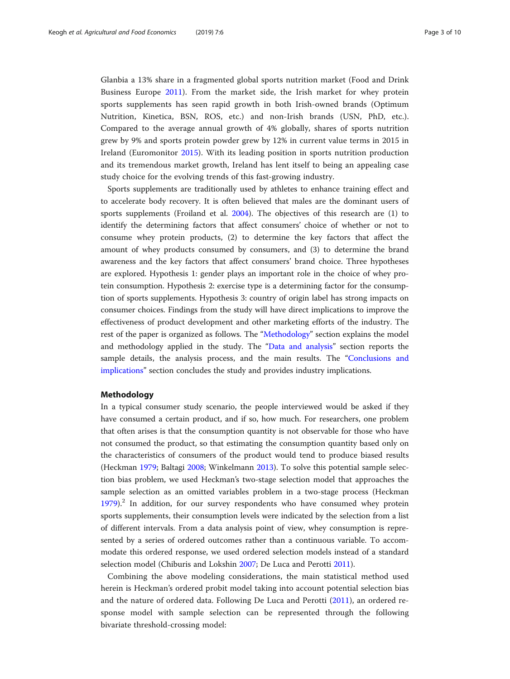Glanbia a 13% share in a fragmented global sports nutrition market (Food and Drink Business Europe [2011](#page-9-0)). From the market side, the Irish market for whey protein sports supplements has seen rapid growth in both Irish-owned brands (Optimum Nutrition, Kinetica, BSN, ROS, etc.) and non-Irish brands (USN, PhD, etc.). Compared to the average annual growth of 4% globally, shares of sports nutrition grew by 9% and sports protein powder grew by 12% in current value terms in 2015 in Ireland (Euromonitor [2015\)](#page-8-0). With its leading position in sports nutrition production and its tremendous market growth, Ireland has lent itself to being an appealing case study choice for the evolving trends of this fast-growing industry.

Sports supplements are traditionally used by athletes to enhance training effect and to accelerate body recovery. It is often believed that males are the dominant users of sports supplements (Froiland et al. [2004\)](#page-9-0). The objectives of this research are (1) to identify the determining factors that affect consumers' choice of whether or not to consume whey protein products, (2) to determine the key factors that affect the amount of whey products consumed by consumers, and (3) to determine the brand awareness and the key factors that affect consumers' brand choice. Three hypotheses are explored. Hypothesis 1: gender plays an important role in the choice of whey protein consumption. Hypothesis 2: exercise type is a determining factor for the consumption of sports supplements. Hypothesis 3: country of origin label has strong impacts on consumer choices. Findings from the study will have direct implications to improve the effectiveness of product development and other marketing efforts of the industry. The rest of the paper is organized as follows. The "Methodology" section explains the model and methodology applied in the study. The "[Data and analysis](#page-3-0)" section reports the sample details, the analysis process, and the main results. The "[Conclusions and](#page-6-0) [implications](#page-6-0)" section concludes the study and provides industry implications.

## Methodology

In a typical consumer study scenario, the people interviewed would be asked if they have consumed a certain product, and if so, how much. For researchers, one problem that often arises is that the consumption quantity is not observable for those who have not consumed the product, so that estimating the consumption quantity based only on the characteristics of consumers of the product would tend to produce biased results (Heckman [1979;](#page-9-0) Baltagi [2008](#page-8-0); Winkelmann [2013\)](#page-9-0). To solve this potential sample selection bias problem, we used Heckman's two-stage selection model that approaches the sample selection as an omitted variables problem in a two-stage process (Heckman [1979](#page-9-0)).<sup>2</sup> In addition, for our survey respondents who have consumed whey protein sports supplements, their consumption levels were indicated by the selection from a list of different intervals. From a data analysis point of view, whey consumption is represented by a series of ordered outcomes rather than a continuous variable. To accommodate this ordered response, we used ordered selection models instead of a standard selection model (Chiburis and Lokshin [2007](#page-8-0); De Luca and Perotti [2011\)](#page-8-0).

Combining the above modeling considerations, the main statistical method used herein is Heckman's ordered probit model taking into account potential selection bias and the nature of ordered data. Following De Luca and Perotti [\(2011](#page-8-0)), an ordered response model with sample selection can be represented through the following bivariate threshold-crossing model: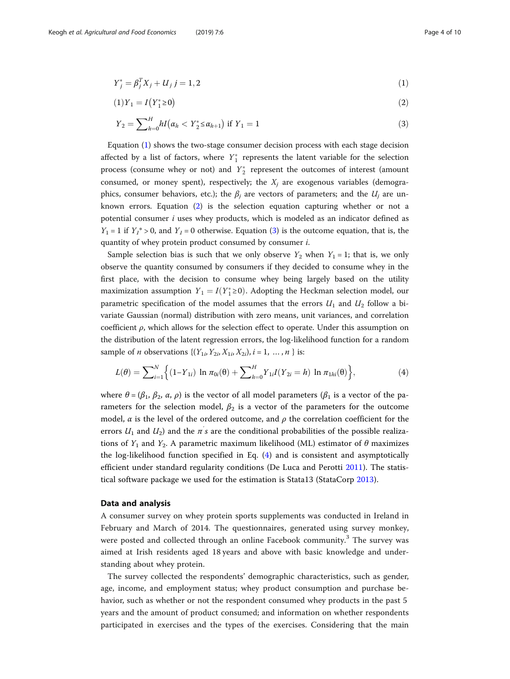<span id="page-3-0"></span>
$$
Y_j^* = \beta_j^T X_j + U_j \ j = 1, 2 \tag{1}
$$

$$
(1)Y_1 = I(Y_1^* \ge 0) \tag{2}
$$

$$
Y_2 = \sum_{h=0}^{H} hI(\alpha_h < Y_2^* \le \alpha_{h+1}) \text{ if } Y_1 = 1 \tag{3}
$$

Equation (1) shows the two-stage consumer decision process with each stage decision affected by a list of factors, where  $Y_1^*$  represents the latent variable for the selection process (consume whey or not) and  $Y_{2}^{*}$  represent the outcomes of interest (amount consumed, or money spent), respectively; the  $X_j$  are exogenous variables (demographics, consumer behaviors, etc.); the  $\beta_i$  are vectors of parameters; and the  $U_i$  are unknown errors. Equation (2) is the selection equation capturing whether or not a potential consumer  $i$  uses whey products, which is modeled as an indicator defined as  $Y_1 = 1$  if  $Y_1^* > 0$ , and  $Y_1 = 0$  otherwise. Equation (3) is the outcome equation, that is, the quantity of whey protein product consumed by consumer i.

Sample selection bias is such that we only observe  $Y_2$  when  $Y_1 = 1$ ; that is, we only observe the quantity consumed by consumers if they decided to consume whey in the first place, with the decision to consume whey being largely based on the utility maximization assumption  $Y_1 = I(Y_1^* \ge 0)$ . Adopting the Heckman selection model, our parametric specification of the model assumes that the errors  $U_1$  and  $U_2$  follow a bivariate Gaussian (normal) distribution with zero means, unit variances, and correlation coefficient  $\rho$ , which allows for the selection effect to operate. Under this assumption on the distribution of the latent regression errors, the log-likelihood function for a random sample of *n* observations  $\{(Y_{1i}, Y_{2i}, X_{1i}, X_{2i}), i = 1, ..., n\}$  is:

$$
L(\theta) = \sum_{i=1}^{N} \Big\{ (1 - Y_{1i}) \ln \pi_{0i}(\theta) + \sum_{h=0}^{H} Y_{1i} I(Y_{2i} = h) \ln \pi_{1hi}(\theta) \Big\},\tag{4}
$$

where  $\theta = (\beta_1, \beta_2, \alpha, \rho)$  is the vector of all model parameters ( $\beta_1$  is a vector of the parameters for the selection model,  $\beta_2$  is a vector of the parameters for the outcome model,  $\alpha$  is the level of the ordered outcome, and  $\rho$  the correlation coefficient for the errors  $U_1$  and  $U_2$ ) and the  $\pi^{'}s$  are the conditional probabilities of the possible realizations of  $Y_1$  and  $Y_2$ . A parametric maximum likelihood (ML) estimator of  $\theta$  maximizes the log-likelihood function specified in Eq. (4) and is consistent and asymptotically efficient under standard regularity conditions (De Luca and Perotti [2011\)](#page-8-0). The statistical software package we used for the estimation is Stata13 (StataCorp [2013\)](#page-9-0).

### Data and analysis

A consumer survey on whey protein sports supplements was conducted in Ireland in February and March of 2014. The questionnaires, generated using survey monkey, were posted and collected through an online Facebook community.<sup>3</sup> The survey was aimed at Irish residents aged 18 years and above with basic knowledge and understanding about whey protein.

The survey collected the respondents' demographic characteristics, such as gender, age, income, and employment status; whey product consumption and purchase behavior, such as whether or not the respondent consumed whey products in the past 5 years and the amount of product consumed; and information on whether respondents participated in exercises and the types of the exercises. Considering that the main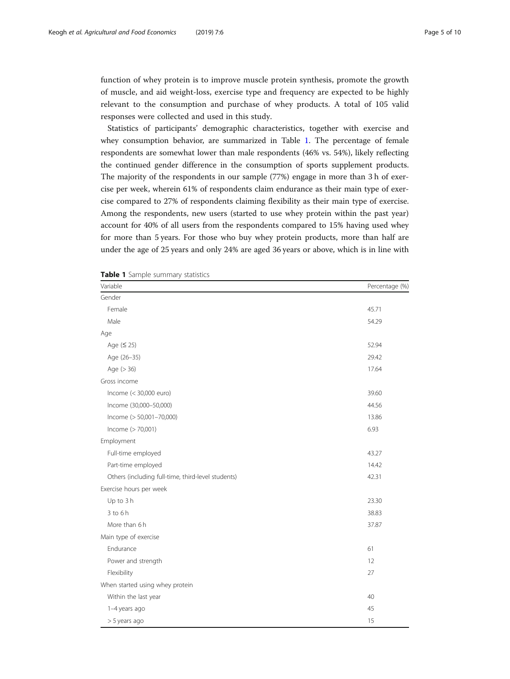function of whey protein is to improve muscle protein synthesis, promote the growth of muscle, and aid weight-loss, exercise type and frequency are expected to be highly relevant to the consumption and purchase of whey products. A total of 105 valid responses were collected and used in this study.

Statistics of participants' demographic characteristics, together with exercise and whey consumption behavior, are summarized in Table 1. The percentage of female respondents are somewhat lower than male respondents (46% vs. 54%), likely reflecting the continued gender difference in the consumption of sports supplement products. The majority of the respondents in our sample (77%) engage in more than 3 h of exercise per week, wherein 61% of respondents claim endurance as their main type of exercise compared to 27% of respondents claiming flexibility as their main type of exercise. Among the respondents, new users (started to use whey protein within the past year) account for 40% of all users from the respondents compared to 15% having used whey for more than 5 years. For those who buy whey protein products, more than half are under the age of 25 years and only 24% are aged 36 years or above, which is in line with

| Variable                                           | Percentage (%) |
|----------------------------------------------------|----------------|
| Gender                                             |                |
| Female                                             | 45.71          |
| Male                                               | 54.29          |
| Age                                                |                |
| Age $( \leq 25 )$                                  | 52.94          |
| Age (26-35)                                        | 29.42          |
| Age (> 36)                                         | 17.64          |
| Gross income                                       |                |
| Income (< 30,000 euro)                             | 39.60          |
| Income (30,000-50,000)                             | 44.56          |
| Income (> 50,001-70,000)                           | 13.86          |
| Income (> 70,001)                                  | 6.93           |
| Employment                                         |                |
| Full-time employed                                 | 43.27          |
| Part-time employed                                 | 14.42          |
| Others (including full-time, third-level students) | 42.31          |
| Exercise hours per week                            |                |
| Up to 3 h                                          | 23.30          |
| $3$ to $6h$                                        | 38.83          |
| More than 6h                                       | 37.87          |
| Main type of exercise                              |                |
| Endurance                                          | 61             |
| Power and strength                                 | 12             |
| Flexibility                                        | 27             |
| When started using whey protein                    |                |
| Within the last year                               | 40             |
| 1-4 years ago                                      | 45             |
| > 5 years ago                                      | 15             |

| Table 1 Sample summary statistics |  |  |
|-----------------------------------|--|--|
|-----------------------------------|--|--|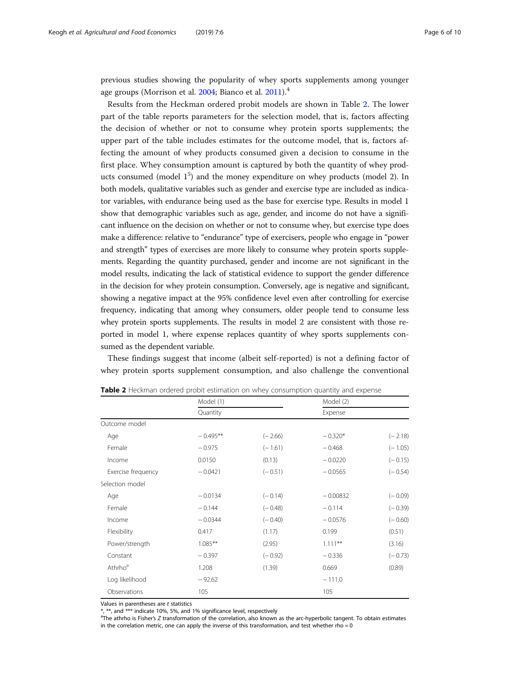previous studies showing the popularity of whey sports supplements among younger age groups (Morrison et al. [2004;](#page-9-0) Bianco et al. [2011](#page-8-0)).<sup>4</sup>

Results from the Heckman ordered probit models are shown in Table 2. The lower part of the table reports parameters for the selection model, that is, factors affecting the decision of whether or not to consume whey protein sports supplements; the upper part of the table includes estimates for the outcome model, that is, factors affecting the amount of whey products consumed given a decision to consume in the first place. Whey consumption amount is captured by both the quantity of whey products consumed (model  $1^5$ ) and the money expenditure on whey products (model 2). In both models, qualitative variables such as gender and exercise type are included as indicator variables, with endurance being used as the base for exercise type. Results in model 1 show that demographic variables such as age, gender, and income do not have a significant influence on the decision on whether or not to consume whey, but exercise type does make a difference: relative to "endurance" type of exercisers, people who engage in "power and strength" types of exercises are more likely to consume whey protein sports supplements. Regarding the quantity purchased, gender and income are not significant in the model results, indicating the lack of statistical evidence to support the gender difference in the decision for whey protein consumption. Conversely, age is negative and significant, showing a negative impact at the 95% confidence level even after controlling for exercise frequency, indicating that among whey consumers, older people tend to consume less whey protein sports supplements. The results in model 2 are consistent with those reported in model 1, where expense replaces quantity of whey sports supplements consumed as the dependent variable.

These findings suggest that income (albeit self-reported) is not a defining factor of whey protein sports supplement consumption, and also challenge the conventional

|                     | Model (1)  |           | Model (2)  |           |
|---------------------|------------|-----------|------------|-----------|
|                     | Quantity   |           | Expense    |           |
| Outcome model       |            |           |            |           |
| Age                 | $-0.495**$ | $(-2.66)$ | $-0.320*$  | $(-2.18)$ |
| Female              | $-0.975$   | $(-1.61)$ | $-0.468$   | $(-1.05)$ |
| Income              | 0.0150     | (0.13)    | $-0.0220$  | $(-0.15)$ |
| Exercise frequency  | $-0.0421$  | $(-0.51)$ | $-0.0565$  | $(-0.54)$ |
| Selection model     |            |           |            |           |
| Age                 | $-0.0134$  | $(-0.14)$ | $-0.00832$ | $(-0.09)$ |
| Female              | $-0.144$   | $(-0.48)$ | $-0.114$   | $(-0.39)$ |
| Income              | $-0.0344$  | $(-0.40)$ | $-0.0576$  | $(-0.60)$ |
| Flexibility         | 0.417      | (1.17)    | 0.199      | (0.51)    |
| Power/strength      | $1.085***$ | (2.95)    | $1.111***$ | (3.16)    |
| Constant            | $-0.397$   | $(-0.92)$ | $-0.336$   | $(-0.73)$ |
| Athrho <sup>a</sup> | 1.208      | (1.39)    | 0.669      | (0.89)    |
| Log likelihood      | $-92.62$   |           | $-111.0$   |           |
| Observations        | 105        |           | 105        |           |

**Table 2** Heckman ordered probit estimation on whey consumption quantity and expense

Values in parentheses are t statistics

\*, \*\*, and \*\*\* indicate 10%, 5%, and 1% significance level, respectively

<sup>a</sup>The athrho is Fisher's Z transformation of the correlation, also known as the arc-hyperbolic tangent. To obtain estimates in the correlation metric, one can apply the inverse of this transformation, and test whether rho =  $0$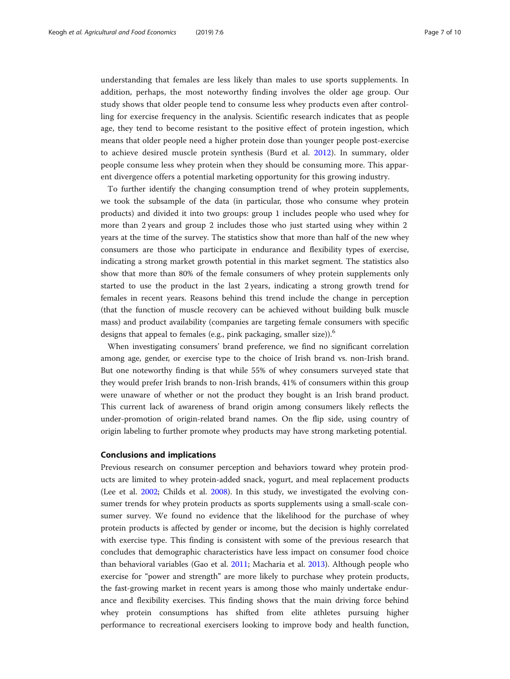<span id="page-6-0"></span>understanding that females are less likely than males to use sports supplements. In addition, perhaps, the most noteworthy finding involves the older age group. Our study shows that older people tend to consume less whey products even after controlling for exercise frequency in the analysis. Scientific research indicates that as people age, they tend to become resistant to the positive effect of protein ingestion, which means that older people need a higher protein dose than younger people post-exercise to achieve desired muscle protein synthesis (Burd et al. [2012\)](#page-8-0). In summary, older people consume less whey protein when they should be consuming more. This apparent divergence offers a potential marketing opportunity for this growing industry.

To further identify the changing consumption trend of whey protein supplements, we took the subsample of the data (in particular, those who consume whey protein products) and divided it into two groups: group 1 includes people who used whey for more than 2 years and group 2 includes those who just started using whey within 2 years at the time of the survey. The statistics show that more than half of the new whey consumers are those who participate in endurance and flexibility types of exercise, indicating a strong market growth potential in this market segment. The statistics also show that more than 80% of the female consumers of whey protein supplements only started to use the product in the last 2 years, indicating a strong growth trend for females in recent years. Reasons behind this trend include the change in perception (that the function of muscle recovery can be achieved without building bulk muscle mass) and product availability (companies are targeting female consumers with specific designs that appeal to females (e.g., pink packaging, smaller size)).<sup>6</sup>

When investigating consumers' brand preference, we find no significant correlation among age, gender, or exercise type to the choice of Irish brand vs. non-Irish brand. But one noteworthy finding is that while 55% of whey consumers surveyed state that they would prefer Irish brands to non-Irish brands, 41% of consumers within this group were unaware of whether or not the product they bought is an Irish brand product. This current lack of awareness of brand origin among consumers likely reflects the under-promotion of origin-related brand names. On the flip side, using country of origin labeling to further promote whey products may have strong marketing potential.

## Conclusions and implications

Previous research on consumer perception and behaviors toward whey protein products are limited to whey protein-added snack, yogurt, and meal replacement products (Lee et al. [2002](#page-9-0); Childs et al. [2008\)](#page-8-0). In this study, we investigated the evolving consumer trends for whey protein products as sports supplements using a small-scale consumer survey. We found no evidence that the likelihood for the purchase of whey protein products is affected by gender or income, but the decision is highly correlated with exercise type. This finding is consistent with some of the previous research that concludes that demographic characteristics have less impact on consumer food choice than behavioral variables (Gao et al. [2011;](#page-9-0) Macharia et al. [2013\)](#page-9-0). Although people who exercise for "power and strength" are more likely to purchase whey protein products, the fast-growing market in recent years is among those who mainly undertake endurance and flexibility exercises. This finding shows that the main driving force behind whey protein consumptions has shifted from elite athletes pursuing higher performance to recreational exercisers looking to improve body and health function,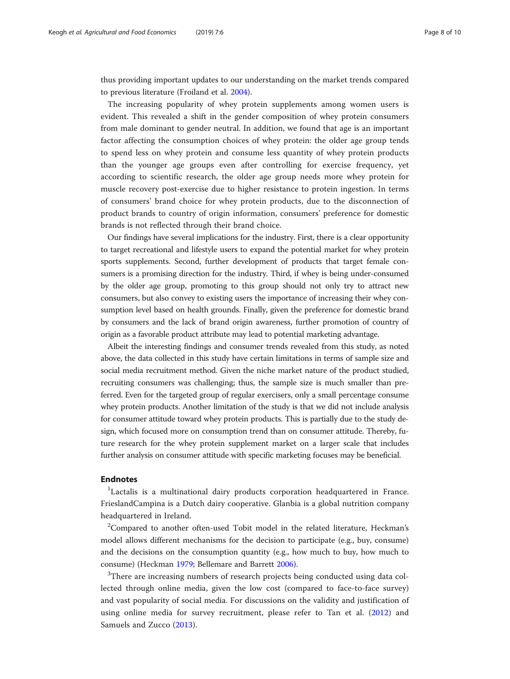thus providing important updates to our understanding on the market trends compared to previous literature (Froiland et al. [2004](#page-9-0)).

The increasing popularity of whey protein supplements among women users is evident. This revealed a shift in the gender composition of whey protein consumers from male dominant to gender neutral. In addition, we found that age is an important factor affecting the consumption choices of whey protein: the older age group tends to spend less on whey protein and consume less quantity of whey protein products than the younger age groups even after controlling for exercise frequency, yet according to scientific research, the older age group needs more whey protein for muscle recovery post-exercise due to higher resistance to protein ingestion. In terms of consumers' brand choice for whey protein products, due to the disconnection of product brands to country of origin information, consumers' preference for domestic brands is not reflected through their brand choice.

Our findings have several implications for the industry. First, there is a clear opportunity to target recreational and lifestyle users to expand the potential market for whey protein sports supplements. Second, further development of products that target female consumers is a promising direction for the industry. Third, if whey is being under-consumed by the older age group, promoting to this group should not only try to attract new consumers, but also convey to existing users the importance of increasing their whey consumption level based on health grounds. Finally, given the preference for domestic brand by consumers and the lack of brand origin awareness, further promotion of country of origin as a favorable product attribute may lead to potential marketing advantage.

Albeit the interesting findings and consumer trends revealed from this study, as noted above, the data collected in this study have certain limitations in terms of sample size and social media recruitment method. Given the niche market nature of the product studied, recruiting consumers was challenging; thus, the sample size is much smaller than preferred. Even for the targeted group of regular exercisers, only a small percentage consume whey protein products. Another limitation of the study is that we did not include analysis for consumer attitude toward whey protein products. This is partially due to the study design, which focused more on consumption trend than on consumer attitude. Thereby, future research for the whey protein supplement market on a larger scale that includes further analysis on consumer attitude with specific marketing focuses may be beneficial.

## Endnotes

<sup>1</sup>Lactalis is a multinational dairy products corporation headquartered in France. FrieslandCampina is a Dutch dairy cooperative. Glanbia is a global nutrition company headquartered in Ireland.

 $2$ Compared to another often-used Tobit model in the related literature, Heckman's model allows different mechanisms for the decision to participate (e.g., buy, consume) and the decisions on the consumption quantity (e.g., how much to buy, how much to consume) (Heckman [1979](#page-9-0); Bellemare and Barrett [2006\)](#page-8-0).

<sup>3</sup>There are increasing numbers of research projects being conducted using data collected through online media, given the low cost (compared to face-to-face survey) and vast popularity of social media. For discussions on the validity and justification of using online media for survey recruitment, please refer to Tan et al. ([2012\)](#page-9-0) and Samuels and Zucco ([2013](#page-9-0)).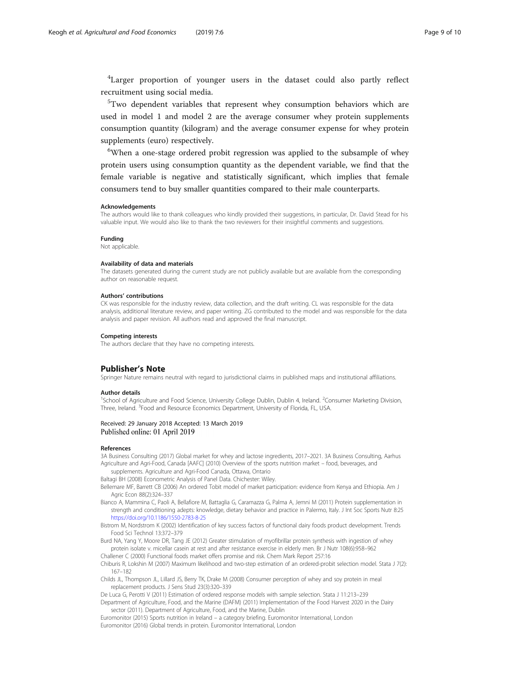<span id="page-8-0"></span><sup>4</sup>Larger proportion of younger users in the dataset could also partly reflect recruitment using social media.

<sup>5</sup>Two dependent variables that represent whey consumption behaviors which are used in model 1 and model 2 are the average consumer whey protein supplements consumption quantity (kilogram) and the average consumer expense for whey protein supplements (euro) respectively.

<sup>6</sup>When a one-stage ordered probit regression was applied to the subsample of whey protein users using consumption quantity as the dependent variable, we find that the female variable is negative and statistically significant, which implies that female consumers tend to buy smaller quantities compared to their male counterparts.

#### Acknowledgements

The authors would like to thank colleagues who kindly provided their suggestions, in particular, Dr. David Stead for his valuable input. We would also like to thank the two reviewers for their insightful comments and suggestions.

#### Funding

Not applicable.

#### Availability of data and materials

The datasets generated during the current study are not publicly available but are available from the corresponding author on reasonable request.

#### Authors' contributions

CK was responsible for the industry review, data collection, and the draft writing. CL was responsible for the data analysis, additional literature review, and paper writing. ZG contributed to the model and was responsible for the data analysis and paper revision. All authors read and approved the final manuscript.

#### Competing interests

The authors declare that they have no competing interests.

#### Publisher's Note

Springer Nature remains neutral with regard to jurisdictional claims in published maps and institutional affiliations.

#### Author details

<sup>1</sup>School of Agriculture and Food Science, University College Dublin, Dublin 4, Ireland. <sup>2</sup>Consumer Marketing Division Three, Ireland. <sup>3</sup> Food and Resource Economics Department, University of Florida, FL, USA.

### Received: 29 January 2018 Accepted: 13 March 2019 Published online: 01 April 2019

#### References

3A Business Consulting (2017) Global market for whey and lactose ingredients, 2017–2021. 3A Business Consulting, Aarhus Agriculture and Agri-Food, Canada [AAFC] (2010) Overview of the sports nutrition market – food, beverages, and

supplements. Agriculture and Agri-Food Canada, Ottawa, Ontario

Baltagi BH (2008) Econometric Analysis of Panel Data. Chichester: Wiley.

- Bellemare MF, Barrett CB (2006) An ordered Tobit model of market participation: evidence from Kenya and Ethiopia. Am J Agric Econ 88(2):324–337
- Bianco A, Mammina C, Paoli A, Bellafiore M, Battaglia G, Caramazza G, Palma A, Jemni M (2011) Protein supplementation in strength and conditioning adepts: knowledge, dietary behavior and practice in Palermo, Italy. J Int Soc Sports Nutr 8:25 <https://doi.org/10.1186/1550-2783-8-25>
- Bistrom M, Nordstrom K (2002) Identification of key success factors of functional dairy foods product development. Trends Food Sci Technol 13:372–379

Burd NA, Yang Y, Moore DR, Tang JE (2012) Greater stimulation of myofibrillar protein synthesis with ingestion of whey protein isolate v. micellar casein at rest and after resistance exercise in elderly men. Br J Nutr 108(6):958–962

Challener C (2000) Functional foods market offers promise and risk. Chem Mark Report 257:16 Chiburis R, Lokshin M (2007) Maximum likelihood and two-step estimation of an ordered-probit selection model. Stata J 7(2):

167–182 Childs JL, Thompson JL, Lillard JS, Berry TK, Drake M (2008) Consumer perception of whey and soy protein in meal

- replacement products. J Sens Stud 23(3):320–339
- De Luca G, Perotti V (2011) Estimation of ordered response models with sample selection. Stata J 11:213–239 Department of Agriculture, Food, and the Marine (DAFM) (2011) Implementation of the Food Harvest 2020 in the Dairy sector (2011). Department of Agriculture, Food, and the Marine, Dublin

Euromonitor (2015) Sports nutrition in Ireland – a category briefing. Euromonitor International, London Euromonitor (2016) Global trends in protein. Euromonitor International, London